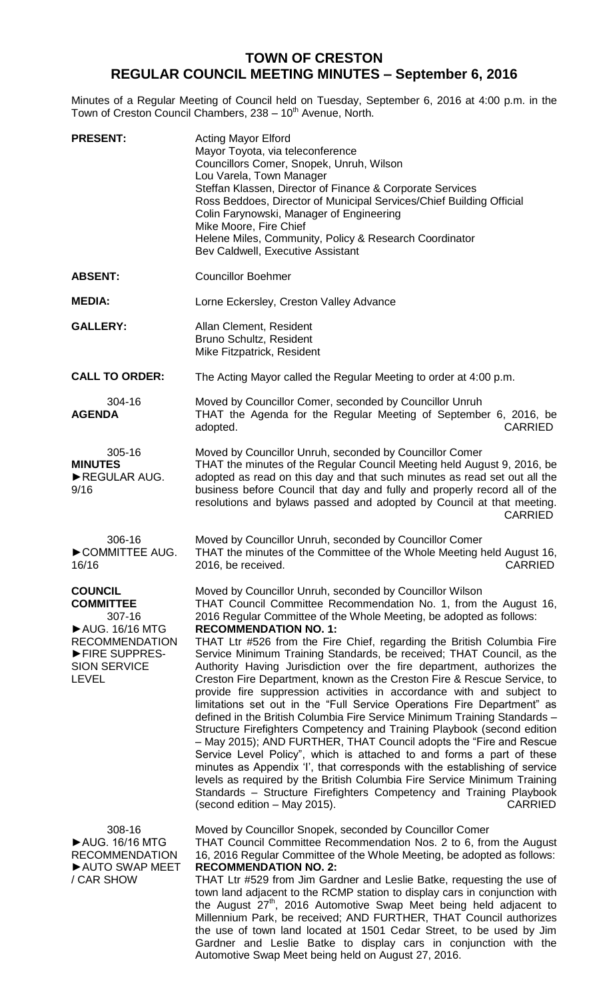## **TOWN OF CRESTON REGULAR COUNCIL MEETING MINUTES – September 6, 2016**

Minutes of a Regular Meeting of Council held on Tuesday, September 6, 2016 at 4:00 p.m. in the Town of Creston Council Chambers, 238 - 10<sup>th</sup> Avenue, North.

| <b>PRESENT:</b>                                                                                                                                   | <b>Acting Mayor Elford</b><br>Mayor Toyota, via teleconference<br>Councillors Comer, Snopek, Unruh, Wilson<br>Lou Varela, Town Manager<br>Steffan Klassen, Director of Finance & Corporate Services<br>Ross Beddoes, Director of Municipal Services/Chief Building Official<br>Colin Farynowski, Manager of Engineering<br>Mike Moore, Fire Chief<br>Helene Miles, Community, Policy & Research Coordinator<br>Bev Caldwell, Executive Assistant                                                                                                                                                                                                                                                                                                                                                                                                                                                                                                                                                                                                                                                                                                                                                                                                                                          |
|---------------------------------------------------------------------------------------------------------------------------------------------------|-------------------------------------------------------------------------------------------------------------------------------------------------------------------------------------------------------------------------------------------------------------------------------------------------------------------------------------------------------------------------------------------------------------------------------------------------------------------------------------------------------------------------------------------------------------------------------------------------------------------------------------------------------------------------------------------------------------------------------------------------------------------------------------------------------------------------------------------------------------------------------------------------------------------------------------------------------------------------------------------------------------------------------------------------------------------------------------------------------------------------------------------------------------------------------------------------------------------------------------------------------------------------------------------|
| <b>ABSENT:</b>                                                                                                                                    | <b>Councillor Boehmer</b>                                                                                                                                                                                                                                                                                                                                                                                                                                                                                                                                                                                                                                                                                                                                                                                                                                                                                                                                                                                                                                                                                                                                                                                                                                                                 |
| <b>MEDIA:</b>                                                                                                                                     | Lorne Eckersley, Creston Valley Advance                                                                                                                                                                                                                                                                                                                                                                                                                                                                                                                                                                                                                                                                                                                                                                                                                                                                                                                                                                                                                                                                                                                                                                                                                                                   |
| <b>GALLERY:</b>                                                                                                                                   | Allan Clement, Resident<br>Bruno Schultz, Resident<br>Mike Fitzpatrick, Resident                                                                                                                                                                                                                                                                                                                                                                                                                                                                                                                                                                                                                                                                                                                                                                                                                                                                                                                                                                                                                                                                                                                                                                                                          |
| <b>CALL TO ORDER:</b>                                                                                                                             | The Acting Mayor called the Regular Meeting to order at 4:00 p.m.                                                                                                                                                                                                                                                                                                                                                                                                                                                                                                                                                                                                                                                                                                                                                                                                                                                                                                                                                                                                                                                                                                                                                                                                                         |
| 304-16<br><b>AGENDA</b>                                                                                                                           | Moved by Councillor Comer, seconded by Councillor Unruh<br>THAT the Agenda for the Regular Meeting of September 6, 2016, be<br><b>CARRIED</b><br>adopted.                                                                                                                                                                                                                                                                                                                                                                                                                                                                                                                                                                                                                                                                                                                                                                                                                                                                                                                                                                                                                                                                                                                                 |
| 305-16<br><b>MINUTES</b><br>REGULAR AUG.<br>9/16                                                                                                  | Moved by Councillor Unruh, seconded by Councillor Comer<br>THAT the minutes of the Regular Council Meeting held August 9, 2016, be<br>adopted as read on this day and that such minutes as read set out all the<br>business before Council that day and fully and properly record all of the<br>resolutions and bylaws passed and adopted by Council at that meeting.<br><b>CARRIED</b>                                                                                                                                                                                                                                                                                                                                                                                                                                                                                                                                                                                                                                                                                                                                                                                                                                                                                                   |
| 306-16<br>COMMITTEE AUG.<br>16/16                                                                                                                 | Moved by Councillor Unruh, seconded by Councillor Comer<br>THAT the minutes of the Committee of the Whole Meeting held August 16,<br><b>CARRIED</b><br>2016, be received.                                                                                                                                                                                                                                                                                                                                                                                                                                                                                                                                                                                                                                                                                                                                                                                                                                                                                                                                                                                                                                                                                                                 |
| <b>COUNCIL</b><br><b>COMMITTEE</b><br>307-16<br>▶ AUG. 16/16 MTG<br><b>RECOMMENDATION</b><br>FIRE SUPPRES-<br><b>SION SERVICE</b><br><b>LEVEL</b> | Moved by Councillor Unruh, seconded by Councillor Wilson<br>THAT Council Committee Recommendation No. 1, from the August 16,<br>2016 Regular Committee of the Whole Meeting, be adopted as follows:<br><b>RECOMMENDATION NO. 1:</b><br>THAT Ltr #526 from the Fire Chief, regarding the British Columbia Fire<br>Service Minimum Training Standards, be received; THAT Council, as the<br>Authority Having Jurisdiction over the fire department, authorizes the<br>Creston Fire Department, known as the Creston Fire & Rescue Service, to<br>provide fire suppression activities in accordance with and subject to<br>limitations set out in the "Full Service Operations Fire Department" as<br>defined in the British Columbia Fire Service Minimum Training Standards -<br>Structure Firefighters Competency and Training Playbook (second edition<br>- May 2015); AND FURTHER, THAT Council adopts the "Fire and Rescue<br>Service Level Policy", which is attached to and forms a part of these<br>minutes as Appendix 'I', that corresponds with the establishing of service<br>levels as required by the British Columbia Fire Service Minimum Training<br>Standards - Structure Firefighters Competency and Training Playbook<br>(second edition – May 2015).<br><b>CARRIED</b> |
| 308-16<br>▶ AUG. 16/16 MTG<br><b>RECOMMENDATION</b><br>AUTO SWAP MEET<br>/ CAR SHOW                                                               | Moved by Councillor Snopek, seconded by Councillor Comer<br>THAT Council Committee Recommendation Nos. 2 to 6, from the August<br>16, 2016 Regular Committee of the Whole Meeting, be adopted as follows:<br><b>RECOMMENDATION NO. 2:</b><br>THAT Ltr #529 from Jim Gardner and Leslie Batke, requesting the use of<br>town land adjacent to the RCMP station to display cars in conjunction with<br>the August 27 <sup>th</sup> , 2016 Automotive Swap Meet being held adjacent to<br>Millennium Park, be received; AND FURTHER, THAT Council authorizes<br>the use of town land located at 1501 Cedar Street, to be used by Jim<br>Gardner and Leslie Batke to display cars in conjunction with the<br>Automotive Swap Meet being held on August 27, 2016.                                                                                                                                                                                                                                                                                                                                                                                                                                                                                                                              |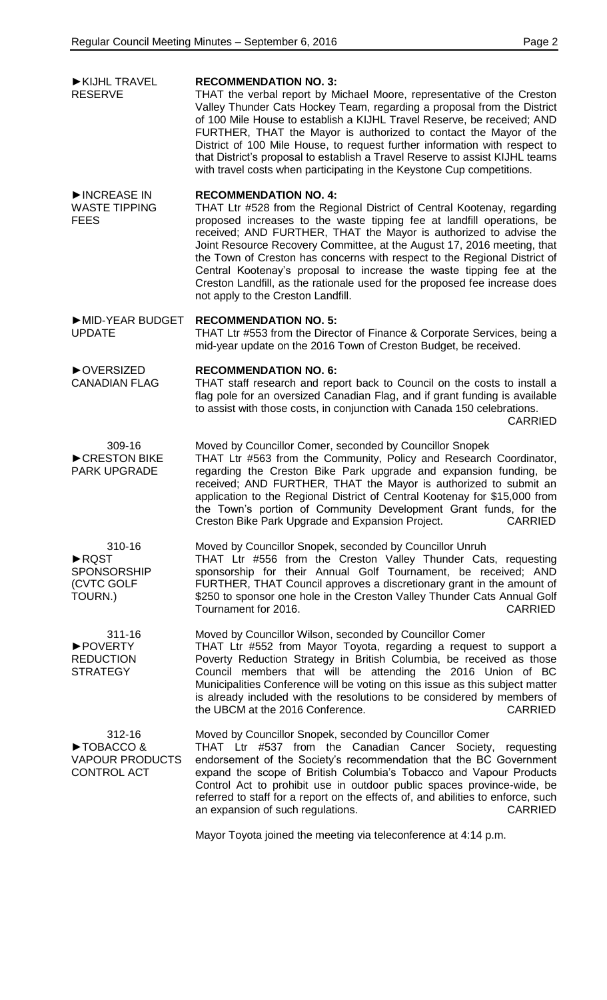| KIJHL TRAVEL<br><b>RESERVE</b>                                     | <b>RECOMMENDATION NO. 3:</b><br>THAT the verbal report by Michael Moore, representative of the Creston<br>Valley Thunder Cats Hockey Team, regarding a proposal from the District<br>of 100 Mile House to establish a KIJHL Travel Reserve, be received; AND<br>FURTHER, THAT the Mayor is authorized to contact the Mayor of the<br>District of 100 Mile House, to request further information with respect to<br>that District's proposal to establish a Travel Reserve to assist KIJHL teams<br>with travel costs when participating in the Keystone Cup competitions.                                  |
|--------------------------------------------------------------------|------------------------------------------------------------------------------------------------------------------------------------------------------------------------------------------------------------------------------------------------------------------------------------------------------------------------------------------------------------------------------------------------------------------------------------------------------------------------------------------------------------------------------------------------------------------------------------------------------------|
| INCREASE IN<br><b>WASTE TIPPING</b><br><b>FEES</b>                 | <b>RECOMMENDATION NO. 4:</b><br>THAT Ltr #528 from the Regional District of Central Kootenay, regarding<br>proposed increases to the waste tipping fee at landfill operations, be<br>received; AND FURTHER, THAT the Mayor is authorized to advise the<br>Joint Resource Recovery Committee, at the August 17, 2016 meeting, that<br>the Town of Creston has concerns with respect to the Regional District of<br>Central Kootenay's proposal to increase the waste tipping fee at the<br>Creston Landfill, as the rationale used for the proposed fee increase does<br>not apply to the Creston Landfill. |
| MID-YEAR BUDGET<br><b>UPDATE</b>                                   | <b>RECOMMENDATION NO. 5:</b><br>THAT Ltr #553 from the Director of Finance & Corporate Services, being a<br>mid-year update on the 2016 Town of Creston Budget, be received.                                                                                                                                                                                                                                                                                                                                                                                                                               |
| ▶ OVERSIZED<br><b>CANADIAN FLAG</b>                                | <b>RECOMMENDATION NO. 6:</b><br>THAT staff research and report back to Council on the costs to install a<br>flag pole for an oversized Canadian Flag, and if grant funding is available<br>to assist with those costs, in conjunction with Canada 150 celebrations.<br><b>CARRIED</b>                                                                                                                                                                                                                                                                                                                      |
| 309-16<br>CRESTON BIKE<br><b>PARK UPGRADE</b>                      | Moved by Councillor Comer, seconded by Councillor Snopek<br>THAT Ltr #563 from the Community, Policy and Research Coordinator,<br>regarding the Creston Bike Park upgrade and expansion funding, be<br>received; AND FURTHER, THAT the Mayor is authorized to submit an<br>application to the Regional District of Central Kootenay for \$15,000 from<br>the Town's portion of Community Development Grant funds, for the<br><b>CARRIED</b><br>Creston Bike Park Upgrade and Expansion Project.                                                                                                            |
| 310-16<br>RQST<br><b>SPONSORSHIP</b><br>(CVTC GOLF<br>TOURN.)      | Moved by Councillor Snopek, seconded by Councillor Unruh<br>THAT Ltr #556 from the Creston Valley Thunder Cats, requesting<br>sponsorship for their Annual Golf Tournament, be received; AND<br>FURTHER, THAT Council approves a discretionary grant in the amount of<br>\$250 to sponsor one hole in the Creston Valley Thunder Cats Annual Golf<br>Tournament for 2016.<br><b>CARRIED</b>                                                                                                                                                                                                                |
| 311-16<br>▶ POVERTY<br><b>REDUCTION</b><br><b>STRATEGY</b>         | Moved by Councillor Wilson, seconded by Councillor Comer<br>THAT Ltr #552 from Mayor Toyota, regarding a request to support a<br>Poverty Reduction Strategy in British Columbia, be received as those<br>Council members that will be attending the 2016 Union of BC<br>Municipalities Conference will be voting on this issue as this subject matter<br>is already included with the resolutions to be considered by members of<br>the UBCM at the 2016 Conference.<br><b>CARRIED</b>                                                                                                                     |
| 312-16<br>TOBACCO&<br><b>VAPOUR PRODUCTS</b><br><b>CONTROL ACT</b> | Moved by Councillor Snopek, seconded by Councillor Comer<br>THAT Ltr #537 from the Canadian Cancer Society,<br>requesting<br>endorsement of the Society's recommendation that the BC Government<br>expand the scope of British Columbia's Tobacco and Vapour Products<br>Control Act to prohibit use in outdoor public spaces province-wide, be<br>referred to staff for a report on the effects of, and abilities to enforce, such<br>an expansion of such regulations.<br><b>CARRIED</b>                                                                                                                 |
|                                                                    | Mayor Toyota joined the meeting via teleconference at 4:14 p.m.                                                                                                                                                                                                                                                                                                                                                                                                                                                                                                                                            |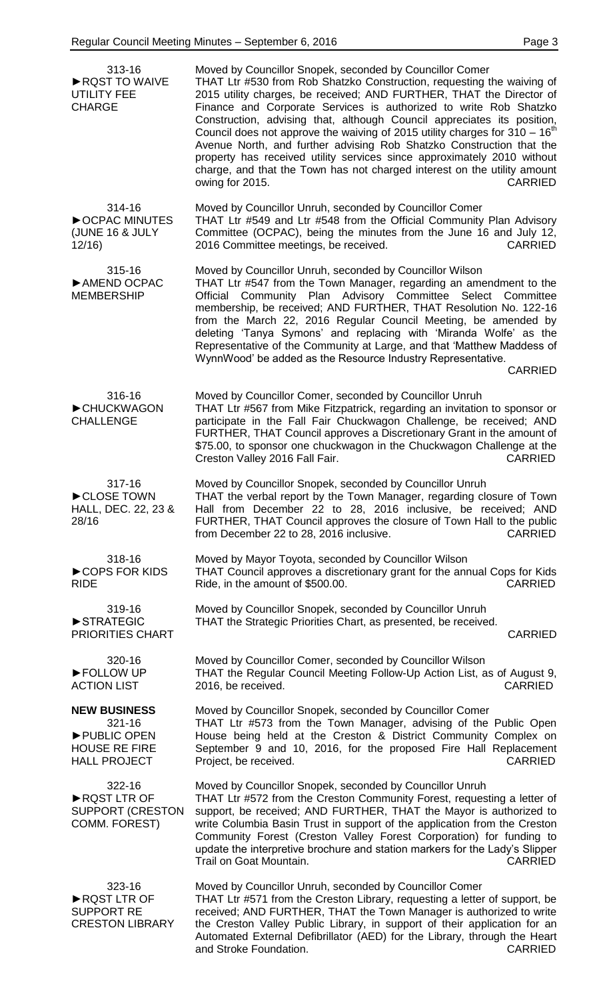| 313-16<br>RQST TO WAIVE<br><b>UTILITY FEE</b><br><b>CHARGE</b>                              | Moved by Councillor Snopek, seconded by Councillor Comer<br>THAT Ltr #530 from Rob Shatzko Construction, requesting the waiving of<br>2015 utility charges, be received; AND FURTHER, THAT the Director of<br>Finance and Corporate Services is authorized to write Rob Shatzko<br>Construction, advising that, although Council appreciates its position,<br>Council does not approve the waiving of 2015 utility charges for $310 - 16th$<br>Avenue North, and further advising Rob Shatzko Construction that the<br>property has received utility services since approximately 2010 without<br>charge, and that the Town has not charged interest on the utility amount<br>owing for 2015.<br><b>CARRIED</b> |
|---------------------------------------------------------------------------------------------|-----------------------------------------------------------------------------------------------------------------------------------------------------------------------------------------------------------------------------------------------------------------------------------------------------------------------------------------------------------------------------------------------------------------------------------------------------------------------------------------------------------------------------------------------------------------------------------------------------------------------------------------------------------------------------------------------------------------|
| 314-16<br>COPAC MINUTES<br>(JUNE 16 & JULY<br>12/16                                         | Moved by Councillor Unruh, seconded by Councillor Comer<br>THAT Ltr #549 and Ltr #548 from the Official Community Plan Advisory<br>Committee (OCPAC), being the minutes from the June 16 and July 12,<br>2016 Committee meetings, be received.<br><b>CARRIED</b>                                                                                                                                                                                                                                                                                                                                                                                                                                                |
| 315-16<br>AMEND OCPAC<br><b>MEMBERSHIP</b>                                                  | Moved by Councillor Unruh, seconded by Councillor Wilson<br>THAT Ltr #547 from the Town Manager, regarding an amendment to the<br>Official Community Plan Advisory Committee Select Committee<br>membership, be received; AND FURTHER, THAT Resolution No. 122-16<br>from the March 22, 2016 Regular Council Meeting, be amended by<br>deleting 'Tanya Symons' and replacing with 'Miranda Wolfe' as the<br>Representative of the Community at Large, and that 'Matthew Maddess of<br>WynnWood' be added as the Resource Industry Representative.<br><b>CARRIED</b>                                                                                                                                             |
| 316-16<br>CHUCKWAGON<br><b>CHALLENGE</b>                                                    | Moved by Councillor Comer, seconded by Councillor Unruh<br>THAT Ltr #567 from Mike Fitzpatrick, regarding an invitation to sponsor or<br>participate in the Fall Fair Chuckwagon Challenge, be received; AND<br>FURTHER, THAT Council approves a Discretionary Grant in the amount of<br>\$75.00, to sponsor one chuckwagon in the Chuckwagon Challenge at the<br>Creston Valley 2016 Fall Fair.<br><b>CARRIED</b>                                                                                                                                                                                                                                                                                              |
| 317-16<br>CLOSE TOWN<br>HALL, DEC. 22, 23 &<br>28/16                                        | Moved by Councillor Snopek, seconded by Councillor Unruh<br>THAT the verbal report by the Town Manager, regarding closure of Town<br>Hall from December 22 to 28, 2016 inclusive, be received; AND<br>FURTHER, THAT Council approves the closure of Town Hall to the public<br>from December 22 to 28, 2016 inclusive.<br><b>CARRIED</b>                                                                                                                                                                                                                                                                                                                                                                        |
| 318-16<br>COPS FOR KIDS<br><b>RIDE</b>                                                      | Moved by Mayor Toyota, seconded by Councillor Wilson<br>THAT Council approves a discretionary grant for the annual Cops for Kids<br>Ride, in the amount of \$500.00.<br><b>CARRIED</b>                                                                                                                                                                                                                                                                                                                                                                                                                                                                                                                          |
| 319-16<br>STRATEGIC<br>PRIORITIES CHART                                                     | Moved by Councillor Snopek, seconded by Councillor Unruh<br>THAT the Strategic Priorities Chart, as presented, be received.<br><b>CARRIED</b>                                                                                                                                                                                                                                                                                                                                                                                                                                                                                                                                                                   |
| 320-16<br>FOLLOW UP<br><b>ACTION LIST</b>                                                   | Moved by Councillor Comer, seconded by Councillor Wilson<br>THAT the Regular Council Meeting Follow-Up Action List, as of August 9,<br>2016, be received.<br><b>CARRIED</b>                                                                                                                                                                                                                                                                                                                                                                                                                                                                                                                                     |
| <b>NEW BUSINESS</b><br>321-16<br>PUBLIC OPEN<br><b>HOUSE RE FIRE</b><br><b>HALL PROJECT</b> | Moved by Councillor Snopek, seconded by Councillor Comer<br>THAT Ltr #573 from the Town Manager, advising of the Public Open<br>House being held at the Creston & District Community Complex on<br>September 9 and 10, 2016, for the proposed Fire Hall Replacement<br>Project, be received.<br><b>CARRIED</b>                                                                                                                                                                                                                                                                                                                                                                                                  |
| 322-16<br>RQST LTR OF<br><b>SUPPORT (CRESTON</b><br>COMM. FOREST)                           | Moved by Councillor Snopek, seconded by Councillor Unruh<br>THAT Ltr #572 from the Creston Community Forest, requesting a letter of<br>support, be received; AND FURTHER, THAT the Mayor is authorized to<br>write Columbia Basin Trust in support of the application from the Creston<br>Community Forest (Creston Valley Forest Corporation) for funding to<br>update the interpretive brochure and station markers for the Lady's Slipper<br><b>CARRIED</b><br>Trail on Goat Mountain.                                                                                                                                                                                                                       |
| 323-16<br>RQST LTR OF<br><b>SUPPORT RE</b><br><b>CRESTON LIBRARY</b>                        | Moved by Councillor Unruh, seconded by Councillor Comer<br>THAT Ltr #571 from the Creston Library, requesting a letter of support, be<br>received; AND FURTHER, THAT the Town Manager is authorized to write<br>the Creston Valley Public Library, in support of their application for an<br>Automated External Defibrillator (AED) for the Library, through the Heart<br>and Stroke Foundation.<br><b>Example 2018</b> CARRIED                                                                                                                                                                                                                                                                                 |